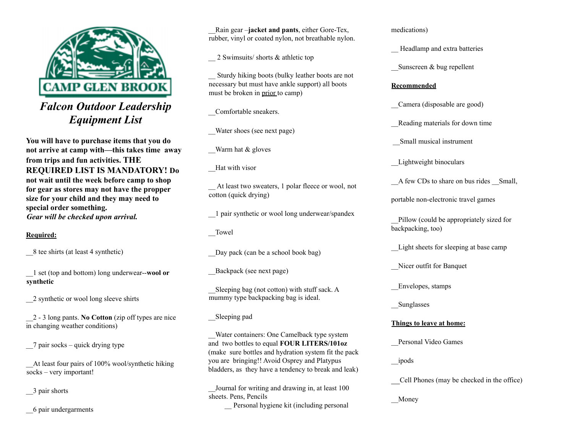

# *Falcon Outdoor Leadership Equipment List*

**You will have to purchase items that you do not arrive at camp with—this takes time away from trips and fun activities. THE REQUIRED LIST IS MANDATORY! Do not wait until the week before camp to shop for gear as stores may not have the propper size for your child and they may need to special order something.** *Gear will be checked upon arrival.*

#### **Required:**

\_\_8 tee shirts (at least 4 synthetic)

\_\_1 set (top and bottom) long underwear--**wool or synthetic**

\_\_2 synthetic or wool long sleeve shirts

\_\_2 - 3 long pants. **No Cotton** (zip off types are nice in changing weather conditions)

\_\_7 pair socks – quick drying type

\_\_At least four pairs of 100% wool/synthetic hiking socks – very important!

\_\_3 pair shorts

\_\_6 pair undergarments

\_\_Rain gear –**jacket and pants**, either Gore-Tex, rubber, vinyl or coated nylon, not breathable nylon.

2 Swimsuits/ shorts & athletic top

\_\_ Sturdy hiking boots (bulky leather boots are not necessary but must have ankle support) all boots must be broken in prior to camp)

\_\_Comfortable sneakers.

\_\_Water shoes (see next page)

Warm hat & gloves

\_\_Hat with visor

\_\_ At least two sweaters, 1 polar fleece or wool, not cotton (quick drying)

\_\_1 pair synthetic or wool long underwear/spandex

Towel

Day pack (can be a school book bag)

\_\_Backpack (see next page)

\_\_Sleeping bag (not cotton) with stuff sack. A mummy type backpacking bag is ideal.

\_\_Sleeping pad

\_\_Water containers: One Camelback type system and two bottles to equal **FOUR LITERS/101oz** (make sure bottles and hydration system fit the pack you are bringing!! Avoid Osprey and Platypus bladders, as they have a tendency to break and leak)

\_\_Journal for writing and drawing in, at least 100 sheets. Pens, Pencils Personal hygiene kit (including personal medications)

\_\_ Headlamp and extra batteries

Sunscreen & bug repellent

#### **Recommended**

\_\_Camera (disposable are good)

Reading materials for down time

\_\_Small musical instrument

Lightweight binoculars

A few CDs to share on bus rides Small,

portable non-electronic travel games

\_\_Pillow (could be appropriately sized for backpacking, too)

Light sheets for sleeping at base camp

\_\_Nicer outfit for Banquet

\_\_Envelopes, stamps

**Sunglasses** 

### **Things to leave at home:**

\_\_Personal Video Games

\_\_ipods

\_\_Cell Phones (may be checked in the office)

\_\_Money